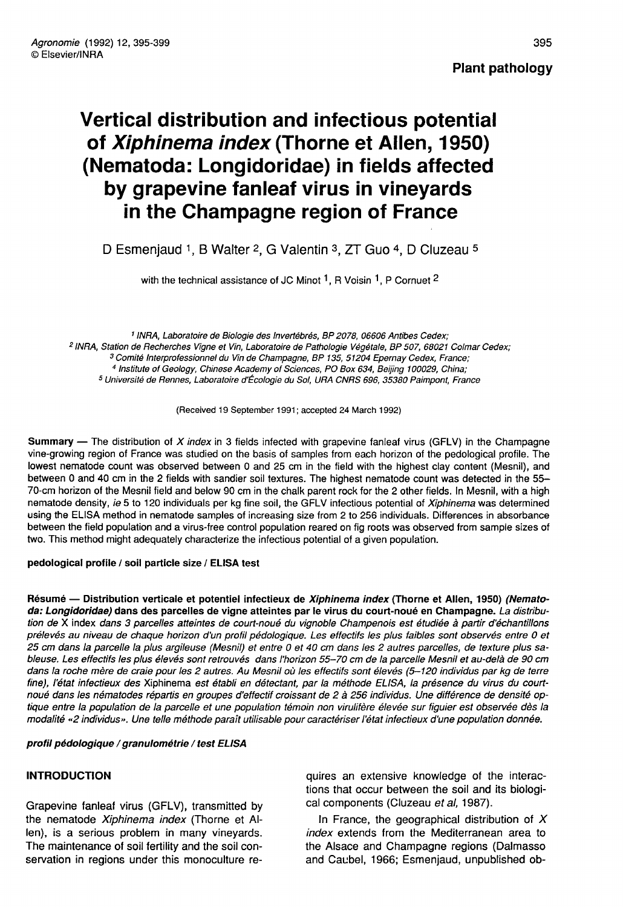Plant pathology

# Vertical distribution and infectious potential of Xiphinema index (Thorne et Allen, 1950) (Nematoda: Longidoridae) in fields affected by grapevine fanleaf virus in vineyards in the Champagne region of France

D Esmenjaud 1, B Walter 2, G Valentin 3, ZT Guo 4, D Cluzeau  $\frac{1}{2}$ Valentin <sup>3</sup>, ZT Guo <sup>4</sup>, D C<br>JC Minot <sup>1</sup>, R Voisin <sup>1</sup>, P Cornuet

<sup>1</sup> INRA, Laboratoire de Biologie des Invertébrés, BP 2078, 06606 Antibes Cedex;<br><sup>2</sup> INRA, Station de Recherches Vigne et Vin, Laboratoire de Pathologie Végétale, BP 507, 68021 Colmar Cedex;<br><sup>3</sup> Comité Interprofessionnel d <sup>5</sup> Université de Rennes, Laboratoire d'Écologie du Sol, URA CNRS 696, 35380 Paimpont, France

(Received 19 September 1991; accepted 24 March 1992)

**Summary** — The distribution of X index in 3 fields infected with grapevine fanleaf virus (GFLV) in the Champagne vine-growing region of France was studied on the basis of samples from each horizon of the pedological profile. The lowest nematode count was observed between 0 and 25 cm in the field with the highest clay content (Mesnil), and between 0 and 40 cm in the 2 fields with sandier soil textures. The highest nematode count was detected in the 55- 70-cm horizon of the Mesnil field and below 90 cm in the chalk parent rock for the 2 other fields. In Mesnil, with a high nematode density, ie 5 to 120 individuals per kg fine soil, the GFLV infectious potential of Xiphinema was determined using the ELISA method in nematode samples of increasing size from 2 to 256 individuals. Differences in absorbance between the field population and a virus-free control population reared on fig roots was observed from sample sizes of two. This method might adequately characterize the infectious potential of a given population.

pedological profile / soil particle size / ELISA test

Résumé — Distribution verticale et potentiel infectieux de Xiphinema index (Thorne et Allen, 1950) (Nematoda: Longidoridae) dans des parcelles de vigne atteintes par le virus du court-noué en Champagne. La distribution de X index dans 3 parcelles atteintes de court-noué du vignoble Champenois est étudiée à partir d'échantillons prélevés au niveau de chaque horizon d'un profil pédologique. Les effectifs les plus faibles sont observés entre 0 et 25 cm dans la parcelle la plus argileuse (Mesnil) et entre 0 et 40 cm dans les 2 autres parcelles, de texture plus sableuse. Les effectifs les plus élevés sont retrouvés dans l'horizon 55-70 cm de la parcelle Mesnil et au-delà de 90 cm dans la roche mère de craie pour les 2 autres. Au Mesnil où les effectifs sont élevés (5-120 individus par kg de terre fine), l'état infectieux des Xiphinema est établi en détectant, par la méthode ELISA, la présence du virus du courtnoué dans les nématodes répartis en groupes d'effectif croissant de 2 à 256 individus. Une différence de densité optique entre la population de la parcelle et une population témoin non virulifère élevée sur figuier est observée dès la modalité «2 individus». Une telle méthode paraît utilisable pour caractériser l'état infectieux d'une population donnée.

profil pédologique / granulométrie / test ELISA

#### INTRODUCTION

Grapevine fanleaf virus (GFLV), transmitted by the nematode Xiphinema index (Thorne et Allen), is a serious problem in many vineyards. The maintenance of soil fertility and the soil conservation in regions under this monoculture requires an extensive knowledge of the interactions that occur between the soil and its biological components (Cluzeau et al, 1987).

In France, the geographical distribution of  $X$ index extends from the Mediterranean area to the Alsace and Champagne regions (Dalmasso and Caubel, 1966; Esmenjaud, unpublished ob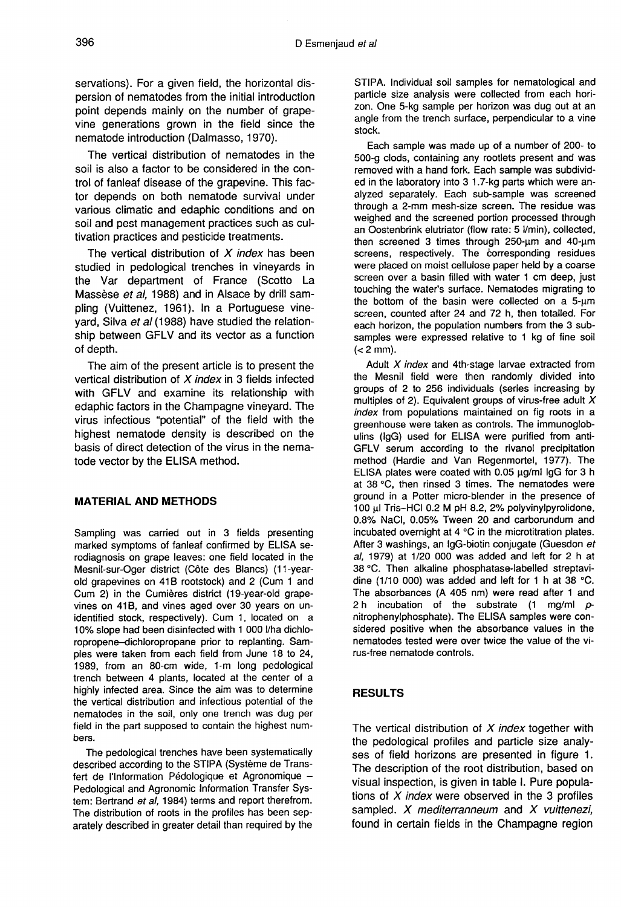servations). For a given field, the horizontal dispersion of nematodes from the initial introduction point depends mainly on the number of grapevine generations grown in the field since the nematode introduction (Dalmasso, 1970).

The vertical distribution of nematodes in the soil is also a factor to be considered in the control of fanleaf disease of the grapevine. This factor depends on both nematode survival under various climatic and edaphic conditions and on soil and pest management practices such as cultivation practices and pesticide treatments.

The vertical distribution of  $X$  index has been studied in pedological trenches in vineyards in the Var department of France (Scotto La Massèse et al, 1988) and in Alsace by drill sampling (Vuittenez, 1961). In a Portuguese vineyard, Silva et al (1988) have studied the relationship between GFLV and its vector as a function of depth.

The aim of the present article is to present the vertical distribution of  $X$  index in 3 fields infected with GFLV and examine its relationship with edaphic factors in the Champagne vineyard. The virus infectious "potential" of the field with the highest nematode density is described on the basis of direct detection of the virus in the nematode vector by the ELISA method.

#### MATERIAL AND METHODS

Sampling was carried out in 3 fields presenting marked symptoms of fanleaf confirmed by ELISA serodiagnosis on grape leaves: one field located in the Mesnil-sur-Oger district (Côte des Blancs) (11-yearold grapevines on 41B rootstock) and 2 (Cum 1 and Cum 2) in the Cumières district (19-year-old grapevines on 41B, and vines aged over 30 years on unidentified stock, respectively). Cum 1, located on a 10% slope had been disinfected with 1 000 l/ha dichloropropene-dichloropropane prior to replanting. Samples were taken from each field from June 18 to 24, 1989, from an 80-cm wide, 1-m long pedological trench between 4 plants, located at the center of a highly infected area. Since the aim was to determine the vertical distribution and infectious potential of the nematodes in the soil, only one trench was dug per field in the part supposed to contain the highest numbers.

The pedological trenches have been systematically described according to the STIPA (Système de Transfert de l'Information Pédologique et Agronomique -Pedological and Agronomic Information Transfer Sys tem: Bertrand et al, 1984) terms and report therefrom. The distribution of roots in the profiles has been separately described in greater detail than required by the

STIPA. Individual soil samples for nematological and particle size analysis were collected from each horizon. One 5-kg sample per horizon was dug out at an angle from the trench surface, perpendicular to a vine stock.

Each sample was made up of a number of 200- to 500-g clods, containing any rootlets present and was removed with a hand fork. Each sample was subdivided in the laboratory into 3 1.7-kg parts which were analyzed separately. Each sub-sample was screened through a 2-mm mesh-size screen. The residue was weighed and the screened portion processed through an Oostenbrink elutriator (flow rate: 5 l/min), collected, then screened 3 times through 250-μm and 40-μm screens, respectively. The corresponding residues were placed on moist cellulose paper held by a coarse screen over a basin filled with water 1 cm deep, just touching the water's surface. Nematodes migrating to the bottom of the basin were collected on a 5-μm screen, counted after 24 and 72 h, then totalled. For each horizon, the population numbers from the 3 subsamples were expressed relative to 1 kg of fine soil  $(< 2$  mm $).$ 

Adult  $X$  index and 4th-stage larvae extracted from the Mesnil field were then randomly divided into groups of 2 to 256 individuals (series increasing by multiples of 2). Equivalent groups of virus-free adult  $X$ index from populations maintained on fig roots in a greenhouse were taken as controls. The immunoglobulins (IgG) used for ELISA were purified from anti-GFLV serum according to the rivanol precipitation method (Hardie and Van Regenmortel, 1977). The ELISA plates were coated with 0.05 μg/ml IgG for 3 h at 38 °C, then rinsed 3 times. The nematodes were ground in a Potter micro-blender in the presence of 100 μl Tris-HCl 0.2 M pH 8.2, 2% polyvinylpyrolidone, 0.8% NaCl, 0.05% Tween 20 and carborundum and incubated overnight at 4 °C in the microtitration plates. After 3 washings, an IgG-biotin conjugate (Guesdon et al, 1979) at 1/20 000 was added and left for 2 h at 38 °C. Then alkaline phosphatase-labelled streptavidine (1/10 000) was added and left for 1 h at 38 °C. The absorbances (A 405 nm) were read after 1 and 2 h incubation of the substrate  $(1 \text{ mg/ml } p$ nitrophenylphosphate). The ELISA samples were considered positive when the absorbance values in the nematodes tested were over twice the value of the virus-free nematode controls.

#### RESULTS

The vertical distribution of  $X$  index together with the pedological profiles and particle size analy ses of field horizons are presented in figure 1. The description of the root distribution, based on visual inspection, is given in table I. Pure populations of  $X$  index were observed in the 3 profiles sampled.  $X$  mediterranneum and  $X$  vuittenezi, found in certain fields in the Champagne region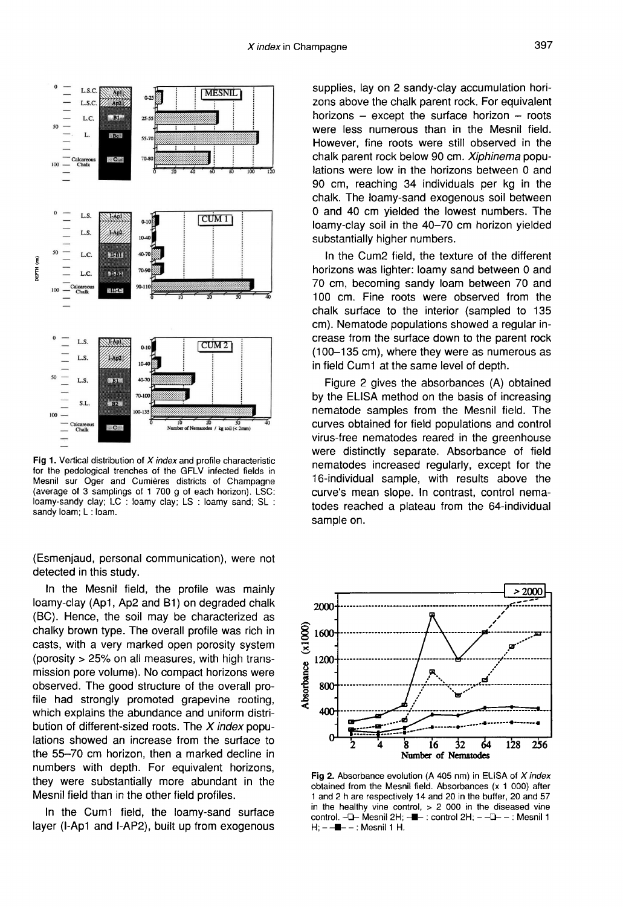

Fig 1. Vertical distribution of X index and profile characteristic for the pedological trenches of the GFLV infected fields in Mesnil sur Oger and Cumières districts of Champagne (average of 3 samplings of 1 700 g of each horizon). LSC: loamy-sandy clay; LC : loamy clay; LS : loamy sand; SL : sandy loam; L: loam.

(Esmenjaud, personal communication), were not detected in this study.

In the Mesnil field, the profile was mainly loamy-clay (Ap1, Ap2 and B1) on degraded chalk (BC). Hence, the soil may be characterized as chalky brown type. The overall profile was rich in casts, with a very marked open porosity system (porosity > 25% on all measures, with high transmission pore volume). No compact horizons were observed. The good structure of the overall profile had strongly promoted grapevine rooting, which explains the abundance and uniform distribution of different-sized roots. The  $X$  index populations showed an increase from the surface to the 55-70 cm horizon, then a marked decline in numbers with depth. For equivalent horizons, they were substantially more abundant in the Mesnil field than in the other field profiles.

In the Cum1 field, the loamy-sand surface layer (I-Ap1 and I-AP2), built up from exogenous

supplies, lay on 2 sandy-clay accumulation horizons above the chalk parent rock. For equivalent horizons  $-$  except the surface horizon  $-$  roots were less numerous than in the Mesnil field. However, fine roots were still observed in the chalk parent rock below 90 cm. Xiphinema populations were low in the horizons between 0 and 90 cm, reaching 34 individuals per kg in the chalk. The loamy-sand exogenous soil between 0 and 40 cm yielded the lowest numbers. The loamy-clay soil in the 40-70 cm horizon yielded substantially higher numbers.

In the Cum2 field, the texture of the different horizons was lighter: loamy sand between 0 and 70 cm, becoming sandy loam between 70 and 100 cm. Fine roots were observed from the chalk surface to the interior (sampled to 135 cm). Nematode populations showed a regular increase from the surface down to the parent rock (100-135 cm), where they were as numerous as in field Cum1 at the same level of depth.

Figure 2 gives the absorbances (A) obtained by the ELISA method on the basis of increasing nematode samples from the Mesnil field. The curves obtained for field populations and control virus-free nematodes reared in the greenhouse were distinctly separate. Absorbance of field nematodes increased regularly, except for the 16-individual sample, with results above the curve's mean slope. In contrast, control nematodes reached a plateau from the 64-individual sample on.



Fig 2. Absorbance evolution (A 405 nm) in ELISA of X index obtained from the Mesnil field. Absorbances (x 1 000) after 1 and 2 h are respectively 14 and 20 in the buffer, 20 and 57 in the healthy vine control,  $> 2$  000 in the diseased vine control. - - Mesnil 2H; -- - control 2H; - - - - - : Mesnil 1  $H$ ;  $-$  : Mesnil 1 H.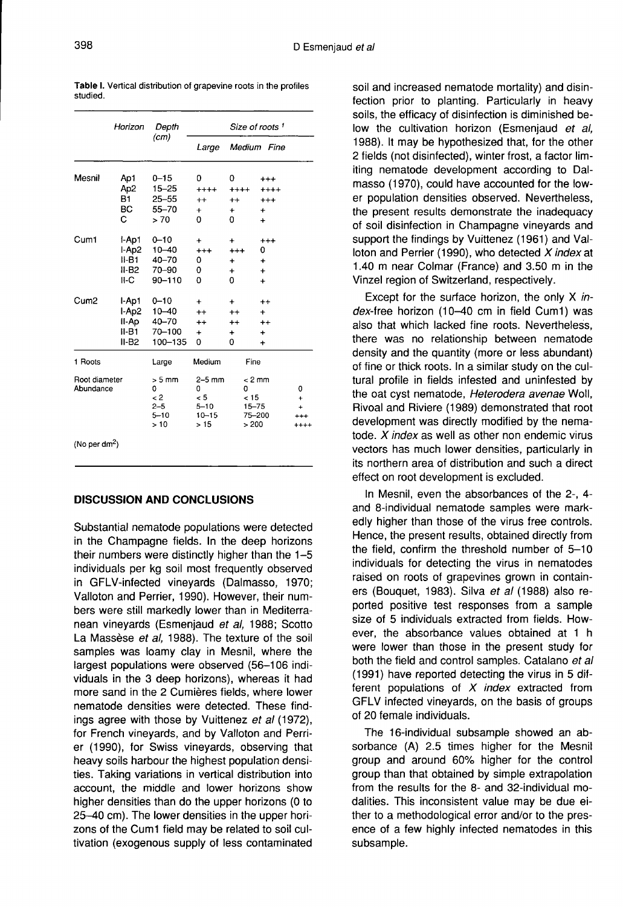|                            | Horizon<br>Ap1<br>Ap <sub>2</sub><br>B1<br>BC.<br>Ć | Depth<br>(cm)<br>$0 - 15$<br>$15 - 25$<br>$25 - 55$<br>55-70<br>> 70 | Size of roots <sup>1</sup>                           |                                                       |                                                                   |                            |
|----------------------------|-----------------------------------------------------|----------------------------------------------------------------------|------------------------------------------------------|-------------------------------------------------------|-------------------------------------------------------------------|----------------------------|
|                            |                                                     |                                                                      |                                                      |                                                       | Large Medium Fine                                                 |                            |
| Mesnil                     |                                                     |                                                                      | 0<br>$++++$<br>$^{++}$<br>$+$<br>0                   | 0<br>$^{+++}$<br>$^{++}$<br>$\ddot{}$<br>0            | $^{+++}$<br>$^{++++}$<br>$^{+++}$<br>$\ddot{}$<br>$\ddot{}$       |                            |
| Cum1                       | l-Ap1<br>I-Ap2<br>II-B1<br>$II-B2$<br>II-C          | $0 - 10$<br>$10 - 40$<br>40-70<br>70-90<br>90-110                    | $\ddot{}$<br>$^{+++}$<br>0<br>0<br>0                 | +<br>$^{+++}$<br>$\ddot{}$<br>$\ddot{}$<br>0          | $^{+++}$<br>0<br>$\ddot{}$<br>$\ddotmark$<br>$\ddot{}$            |                            |
| Cum <sub>2</sub>           | I-Ap1<br>l-Ap2<br>II-Ap<br>II-B1<br>$II-B2$         | $0 - 10$<br>$10 - 40$<br>40-70<br>70-100<br>100-135                  | $\ddot{}$<br>$^{\mathrm{+}}$<br>$++$<br>÷<br>0       | $\ddot{}$<br>$^{\mathrm{+}}$<br>$^{++}$<br>+<br>0     | $^{++}$<br>$\ddot{}$<br>$^{\mathrm{+}}$<br>$\ddot{}$<br>$\ddot{}$ |                            |
| 1 Roots                    |                                                     | Large                                                                | Medium                                               | Fine                                                  |                                                                   |                            |
| Root diameter<br>Abundance |                                                     | $> 5$ mm<br>0<br>$\leq$ 2<br>$2 - 5$<br>$5 - 10$<br>>10              | $2-5$ mm<br>0<br>< 5<br>$5 - 10$<br>$10 - 15$<br>>15 | $< 2$ mm<br>0<br>< 15<br>$15 - 75$<br>75-200<br>> 200 |                                                                   | 0<br>+<br>$\ddot{}$<br>+++ |
| (No per dm <sup>2</sup> )  |                                                     |                                                                      |                                                      |                                                       |                                                                   |                            |

Table I. Vertical distribution of grapevine roots in the profiles heibuta

## DISCUSSION AND CONCLUSIONS

Substantial nematode populations were detected in the Champagne fields. In the deep horizons their numbers were distinctly higher than the 1-5 individuals per kg soil most frequently observed in GFLV-infected vineyards (Dalmasso, 1970; Valloton and Perrier, 1990). However, their numbers were still markedly lower than in Mediterranean vineyards (Esmenjaud et al, 1988; Scotto La Massèse et al, 1988). The texture of the soil samples was loamy clay in Mesnil, where the largest populations were observed (56-106 individuals in the 3 deep horizons), whereas it had more sand in the 2 Cumières fields, where lower nematode densities were detected. These findings agree with those by Vuittenez et al (1972), for French vineyards, and by Valloton and Perrier (1990), for Swiss vineyards, observing that heavy soils harbour the highest population densities. Taking variations in vertical distribution into account, the middle and lower horizons show higher densities than do the upper horizons (0 to 25-40 cm). The lower densities in the upper horizons of the Cum1 field may be related to soil cultivation (exogenous supply of less contaminated soil and increased nematode mortality) and disinfection prior to planting. Particularly in heavy soils, the efficacy of disinfection is diminished below the cultivation horizon (Esmenjaud et al, 1988). It may be hypothesized that, for the other 2 fields (not disinfected), winter frost, a factor limiting nematode development according to Dalmasso (1970), could have accounted for the lower population densities observed. Nevertheless, the present results demonstrate the inadequacy of soil disinfection in Champagne vineyards and support the findings by Vuittenez (1961) and Valloton and Perrier (1990), who detected  $X$  index at 1.40 m near Colmar (France) and 3.50 m in the Vinzel region of Switzerland, respectively.

Except for the surface horizon, the only X index-free horizon (10-40 cm in field Cum1) was also that which lacked fine roots. Nevertheless, there was no relationship between nematode density and the quantity (more or less abundant) of fine or thick roots. In a similar study on the cultural profile in fields infested and uninfested by the oat cyst nematode, Heterodera avenae Woll, Rivoal and Riviere (1989) demonstrated that root development was directly modified by the nematode. X index as well as other non endemic virus vectors has much lower densities, particularly in its northern area of distribution and such a direct effect on root development is excluded.

In Mesnil, even the absorbances of the 2-, 4 and 8-individual nematode samples were markedly higher than those of the virus free controls. Hence, the present results, obtained directly from the field, confirm the threshold number of 5-10 individuals for detecting the virus in nematodes raised on roots of grapevines grown in containers (Bouquet, 1983). Silva et al (1988) also reported positive test responses from a sample size of 5 individuals extracted from fields. However, the absorbance values obtained at 1 h were lower than those in the present study for both the field and control samples. Catalano et al (1991) have reported detecting the virus in 5 different populations of  $X$  index extracted from GFLV infected vineyards, on the basis of groups of 20 female individuals.

The 16-individual subsample showed an absorbance (A) 2.5 times higher for the Mesnil group and around 60% higher for the control group than that obtained by simple extrapolation from the results for the 8- and 32-individual modalities. This inconsistent value may be due either to a methodological error and/or to the presence of a few highly infected nematodes in this subsample.